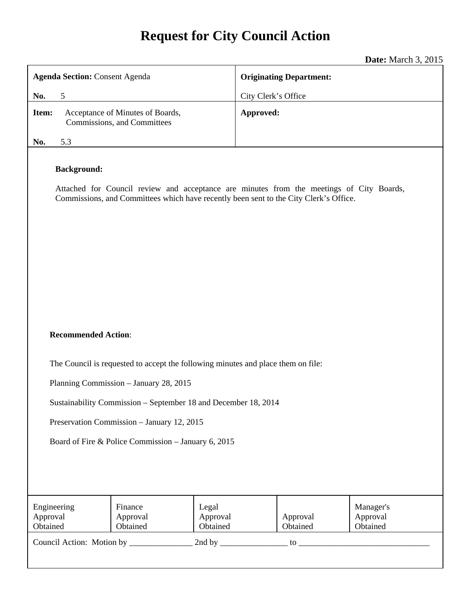# **Request for City Council Action**

### **Date:** March 3, 2015

|                                                                                                                                                                                                         |                                                                 |                               |                                | <b>Date.</b> March 9, 2019        |  |
|---------------------------------------------------------------------------------------------------------------------------------------------------------------------------------------------------------|-----------------------------------------------------------------|-------------------------------|--------------------------------|-----------------------------------|--|
| <b>Agenda Section: Consent Agenda</b>                                                                                                                                                                   |                                                                 |                               | <b>Originating Department:</b> |                                   |  |
| 5<br>No.                                                                                                                                                                                                |                                                                 |                               | City Clerk's Office            |                                   |  |
| Item:                                                                                                                                                                                                   | Acceptance of Minutes of Boards,<br>Commissions, and Committees | Approved:                     |                                |                                   |  |
| No.<br>5.3                                                                                                                                                                                              |                                                                 |                               |                                |                                   |  |
| <b>Background:</b><br>Attached for Council review and acceptance are minutes from the meetings of City Boards,<br>Commissions, and Committees which have recently been sent to the City Clerk's Office. |                                                                 |                               |                                |                                   |  |
| <b>Recommended Action:</b><br>The Council is requested to accept the following minutes and place them on file:                                                                                          |                                                                 |                               |                                |                                   |  |
|                                                                                                                                                                                                         | Planning Commission - January 28, 2015                          |                               |                                |                                   |  |
|                                                                                                                                                                                                         |                                                                 |                               |                                |                                   |  |
| Sustainability Commission – September 18 and December 18, 2014                                                                                                                                          |                                                                 |                               |                                |                                   |  |
| Preservation Commission - January 12, 2015                                                                                                                                                              |                                                                 |                               |                                |                                   |  |
| Board of Fire & Police Commission - January 6, 2015                                                                                                                                                     |                                                                 |                               |                                |                                   |  |
| Engineering<br>Approval<br>Obtained                                                                                                                                                                     | Finance<br>Approval<br>Obtained                                 | Legal<br>Approval<br>Obtained | Approval<br>Obtained           | Manager's<br>Approval<br>Obtained |  |
|                                                                                                                                                                                                         |                                                                 |                               |                                |                                   |  |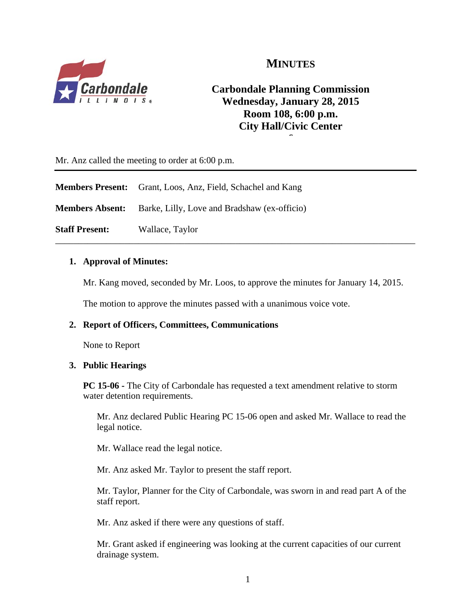

### **MINUTES**

### **Carbondale Planning Commission Wednesday, January 28, 2015 Room 108, 6:00 p.m. City Hall/Civic Center 6**

Mr. Anz called the meeting to order at 6:00 p.m.

|                        | <b>Members Present:</b> Grant, Loos, Anz, Field, Schachel and Kang |  |
|------------------------|--------------------------------------------------------------------|--|
| <b>Members Absent:</b> | Barke, Lilly, Love and Bradshaw (ex-officio)                       |  |
| <b>Staff Present:</b>  | Wallace, Taylor                                                    |  |

### **1. Approval of Minutes:**

Mr. Kang moved, seconded by Mr. Loos, to approve the minutes for January 14, 2015.

The motion to approve the minutes passed with a unanimous voice vote.

### **2. Report of Officers, Committees, Communications**

None to Report

### **3. Public Hearings**

**PC 15-06 -** The City of Carbondale has requested a text amendment relative to storm water detention requirements.

Mr. Anz declared Public Hearing PC 15-06 open and asked Mr. Wallace to read the legal notice.

Mr. Wallace read the legal notice.

Mr. Anz asked Mr. Taylor to present the staff report.

Mr. Taylor, Planner for the City of Carbondale, was sworn in and read part A of the staff report.

Mr. Anz asked if there were any questions of staff.

Mr. Grant asked if engineering was looking at the current capacities of our current drainage system.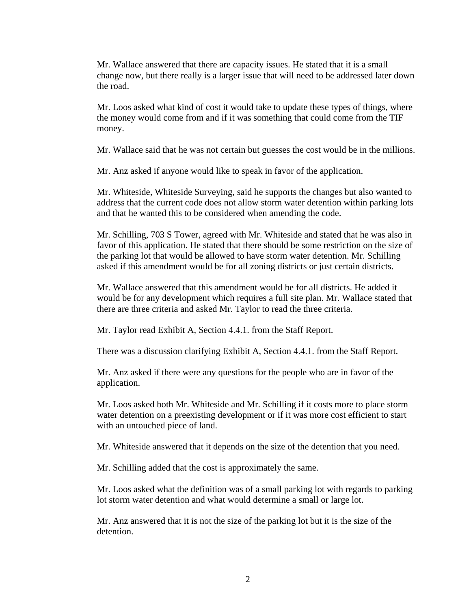Mr. Wallace answered that there are capacity issues. He stated that it is a small change now, but there really is a larger issue that will need to be addressed later down the road.

Mr. Loos asked what kind of cost it would take to update these types of things, where the money would come from and if it was something that could come from the TIF money.

Mr. Wallace said that he was not certain but guesses the cost would be in the millions.

Mr. Anz asked if anyone would like to speak in favor of the application.

Mr. Whiteside, Whiteside Surveying, said he supports the changes but also wanted to address that the current code does not allow storm water detention within parking lots and that he wanted this to be considered when amending the code.

Mr. Schilling, 703 S Tower, agreed with Mr. Whiteside and stated that he was also in favor of this application. He stated that there should be some restriction on the size of the parking lot that would be allowed to have storm water detention. Mr. Schilling asked if this amendment would be for all zoning districts or just certain districts.

Mr. Wallace answered that this amendment would be for all districts. He added it would be for any development which requires a full site plan. Mr. Wallace stated that there are three criteria and asked Mr. Taylor to read the three criteria.

Mr. Taylor read Exhibit A, Section 4.4.1. from the Staff Report.

There was a discussion clarifying Exhibit A, Section 4.4.1. from the Staff Report.

Mr. Anz asked if there were any questions for the people who are in favor of the application.

Mr. Loos asked both Mr. Whiteside and Mr. Schilling if it costs more to place storm water detention on a preexisting development or if it was more cost efficient to start with an untouched piece of land.

Mr. Whiteside answered that it depends on the size of the detention that you need.

Mr. Schilling added that the cost is approximately the same.

Mr. Loos asked what the definition was of a small parking lot with regards to parking lot storm water detention and what would determine a small or large lot.

Mr. Anz answered that it is not the size of the parking lot but it is the size of the detention.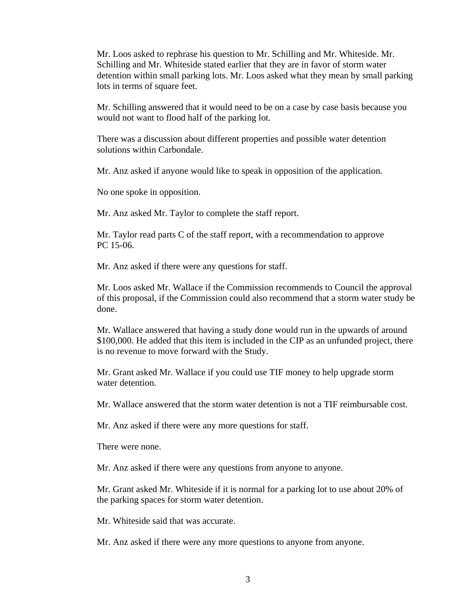Mr. Loos asked to rephrase his question to Mr. Schilling and Mr. Whiteside. Mr. Schilling and Mr. Whiteside stated earlier that they are in favor of storm water detention within small parking lots. Mr. Loos asked what they mean by small parking lots in terms of square feet.

Mr. Schilling answered that it would need to be on a case by case basis because you would not want to flood half of the parking lot.

There was a discussion about different properties and possible water detention solutions within Carbondale.

Mr. Anz asked if anyone would like to speak in opposition of the application.

No one spoke in opposition.

Mr. Anz asked Mr. Taylor to complete the staff report.

Mr. Taylor read parts C of the staff report, with a recommendation to approve PC 15-06.

Mr. Anz asked if there were any questions for staff.

Mr. Loos asked Mr. Wallace if the Commission recommends to Council the approval of this proposal, if the Commission could also recommend that a storm water study be done.

Mr. Wallace answered that having a study done would run in the upwards of around \$100,000. He added that this item is included in the CIP as an unfunded project, there is no revenue to move forward with the Study.

Mr. Grant asked Mr. Wallace if you could use TIF money to help upgrade storm water detention.

Mr. Wallace answered that the storm water detention is not a TIF reimbursable cost.

Mr. Anz asked if there were any more questions for staff.

There were none.

Mr. Anz asked if there were any questions from anyone to anyone.

Mr. Grant asked Mr. Whiteside if it is normal for a parking lot to use about 20% of the parking spaces for storm water detention.

Mr. Whiteside said that was accurate.

Mr. Anz asked if there were any more questions to anyone from anyone.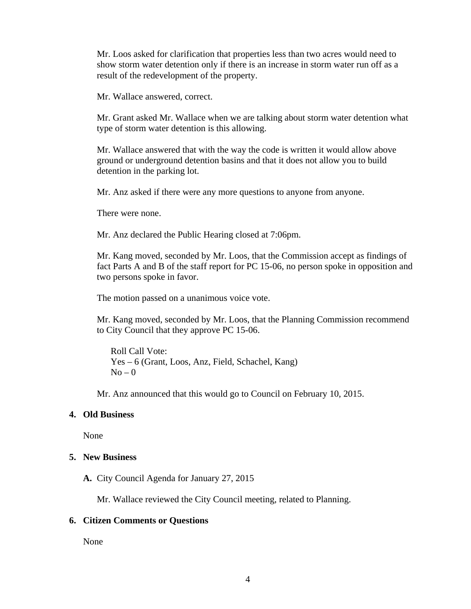Mr. Loos asked for clarification that properties less than two acres would need to show storm water detention only if there is an increase in storm water run off as a result of the redevelopment of the property.

Mr. Wallace answered, correct.

Mr. Grant asked Mr. Wallace when we are talking about storm water detention what type of storm water detention is this allowing.

Mr. Wallace answered that with the way the code is written it would allow above ground or underground detention basins and that it does not allow you to build detention in the parking lot.

Mr. Anz asked if there were any more questions to anyone from anyone.

There were none.

Mr. Anz declared the Public Hearing closed at 7:06pm.

Mr. Kang moved, seconded by Mr. Loos, that the Commission accept as findings of fact Parts A and B of the staff report for PC 15-06, no person spoke in opposition and two persons spoke in favor.

The motion passed on a unanimous voice vote.

Mr. Kang moved, seconded by Mr. Loos, that the Planning Commission recommend to City Council that they approve PC 15-06.

Roll Call Vote: Yes – 6 (Grant, Loos, Anz, Field, Schachel, Kang)  $No - 0$ 

Mr. Anz announced that this would go to Council on February 10, 2015.

#### **4. Old Business**

None

### **5. New Business**

**A.** City Council Agenda for January 27, 2015

Mr. Wallace reviewed the City Council meeting, related to Planning.

#### **6. Citizen Comments or Questions**

None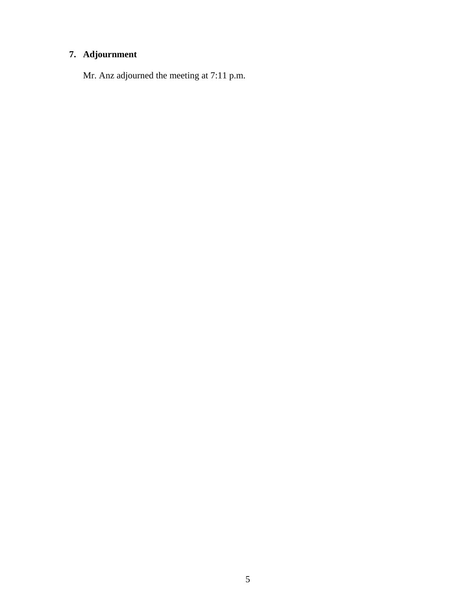### **7. Adjournment**

Mr. Anz adjourned the meeting at 7:11 p.m.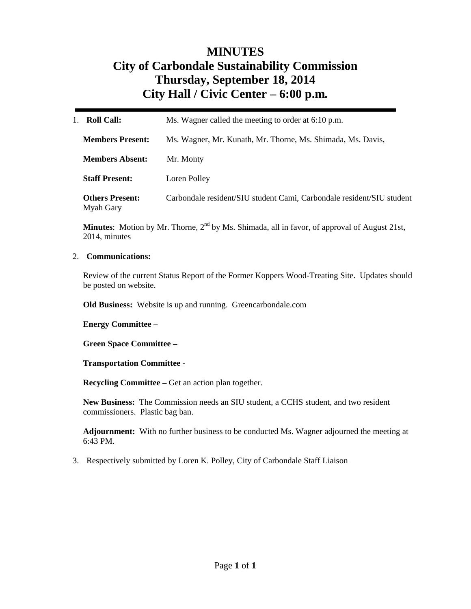# **MINUTES City of Carbondale Sustainability Commission Thursday, September 18, 2014 City Hall / Civic Center – 6:00 p.m***.*

| <b>Roll Call:</b>                   | Ms. Wagner called the meeting to order at 6:10 p.m.                   |  |
|-------------------------------------|-----------------------------------------------------------------------|--|
| <b>Members Present:</b>             | Ms. Wagner, Mr. Kunath, Mr. Thorne, Ms. Shimada, Ms. Davis,           |  |
| <b>Members Absent:</b>              | Mr. Monty                                                             |  |
| <b>Staff Present:</b>               | Loren Polley                                                          |  |
| <b>Others Present:</b><br>Myah Gary | Carbondale resident/SIU student Cami, Carbondale resident/SIU student |  |

**Minutes**: Motion by Mr. Thorne, 2<sup>nd</sup> by Ms. Shimada, all in favor, of approval of August 21st, 2014, minutes

#### 2. **Communications:**

Review of the current Status Report of the Former Koppers Wood-Treating Site. Updates should be posted on website.

**Old Business:** Website is up and running. Greencarbondale.com

**Energy Committee –** 

**Green Space Committee –** 

**Transportation Committee -** 

**Recycling Committee – Get an action plan together.** 

**New Business:** The Commission needs an SIU student, a CCHS student, and two resident commissioners. Plastic bag ban.

**Adjournment:** With no further business to be conducted Ms. Wagner adjourned the meeting at 6:43 PM.

3. Respectively submitted by Loren K. Polley, City of Carbondale Staff Liaison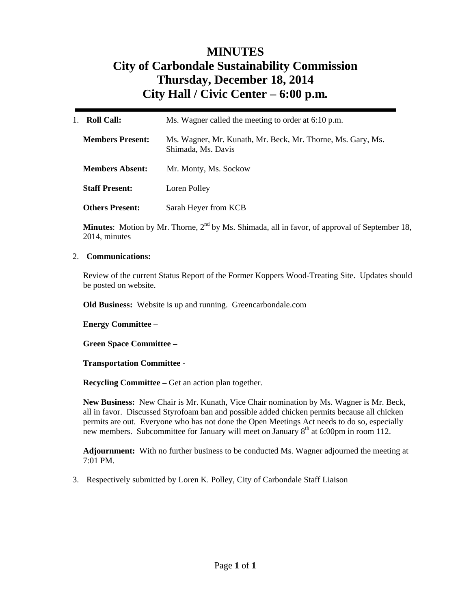# **MINUTES City of Carbondale Sustainability Commission Thursday, December 18, 2014 City Hall / Civic Center – 6:00 p.m***.*

| <b>Roll Call:</b><br>1. | Ms. Wagner called the meeting to order at 6:10 p.m.                               |  |
|-------------------------|-----------------------------------------------------------------------------------|--|
| <b>Members Present:</b> | Ms. Wagner, Mr. Kunath, Mr. Beck, Mr. Thorne, Ms. Gary, Ms.<br>Shimada, Ms. Davis |  |
| <b>Members Absent:</b>  | Mr. Monty, Ms. Sockow                                                             |  |
| <b>Staff Present:</b>   | Loren Polley                                                                      |  |
| <b>Others Present:</b>  | Sarah Heyer from KCB                                                              |  |

**Minutes**: Motion by Mr. Thorne, 2<sup>nd</sup> by Ms. Shimada, all in favor, of approval of September 18, 2014, minutes

#### 2. **Communications:**

Review of the current Status Report of the Former Koppers Wood-Treating Site. Updates should be posted on website.

**Old Business:** Website is up and running. Greencarbondale.com

**Energy Committee –** 

**Green Space Committee –** 

**Transportation Committee -** 

**Recycling Committee – Get an action plan together.** 

**New Business:** New Chair is Mr. Kunath, Vice Chair nomination by Ms. Wagner is Mr. Beck, all in favor. Discussed Styrofoam ban and possible added chicken permits because all chicken permits are out. Everyone who has not done the Open Meetings Act needs to do so, especially new members. Subcommittee for January will meet on January 8<sup>th</sup> at 6:00pm in room 112.

**Adjournment:** With no further business to be conducted Ms. Wagner adjourned the meeting at 7:01 PM.

3. Respectively submitted by Loren K. Polley, City of Carbondale Staff Liaison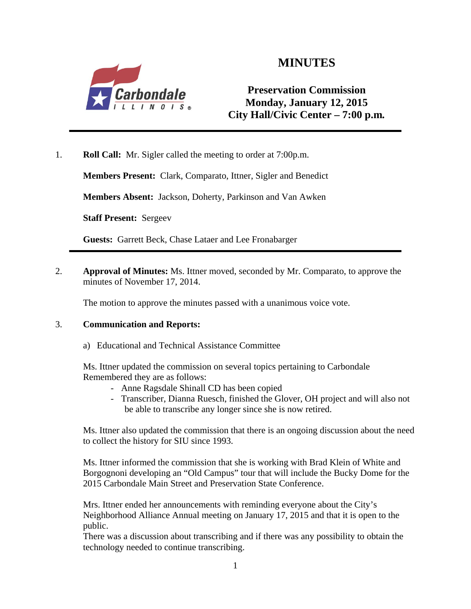

# **MINUTES**

### **Preservation Commission Monday, January 12, 2015 City Hall/Civic Center – 7:00 p.m***.*

1. **Roll Call:** Mr. Sigler called the meeting to order at 7:00p.m.

**Members Present:** Clark, Comparato, Ittner, Sigler and Benedict

**Members Absent:** Jackson, Doherty, Parkinson and Van Awken

**Staff Present:** Sergeev

**Guests:** Garrett Beck, Chase Lataer and Lee Fronabarger

2. **Approval of Minutes:** Ms. Ittner moved, seconded by Mr. Comparato, to approve the minutes of November 17, 2014.

The motion to approve the minutes passed with a unanimous voice vote.

### 3. **Communication and Reports:**

a) Educational and Technical Assistance Committee

Ms. Ittner updated the commission on several topics pertaining to Carbondale Remembered they are as follows:

- Anne Ragsdale Shinall CD has been copied
- Transcriber, Dianna Ruesch, finished the Glover, OH project and will also not be able to transcribe any longer since she is now retired.

Ms. Ittner also updated the commission that there is an ongoing discussion about the need to collect the history for SIU since 1993.

Ms. Ittner informed the commission that she is working with Brad Klein of White and Borgognoni developing an "Old Campus" tour that will include the Bucky Dome for the 2015 Carbondale Main Street and Preservation State Conference.

Mrs. Ittner ended her announcements with reminding everyone about the City's Neighborhood Alliance Annual meeting on January 17, 2015 and that it is open to the public.

There was a discussion about transcribing and if there was any possibility to obtain the technology needed to continue transcribing.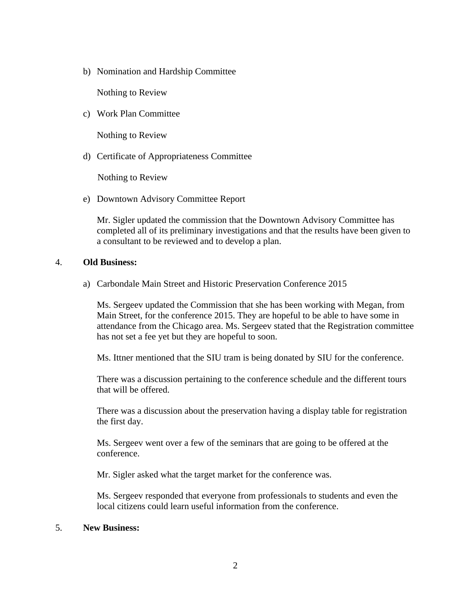b) Nomination and Hardship Committee

Nothing to Review

c) Work Plan Committee

Nothing to Review

d) Certificate of Appropriateness Committee

Nothing to Review

e) Downtown Advisory Committee Report

Mr. Sigler updated the commission that the Downtown Advisory Committee has completed all of its preliminary investigations and that the results have been given to a consultant to be reviewed and to develop a plan.

### 4. **Old Business:**

a) Carbondale Main Street and Historic Preservation Conference 2015

Ms. Sergeev updated the Commission that she has been working with Megan, from Main Street, for the conference 2015. They are hopeful to be able to have some in attendance from the Chicago area. Ms. Sergeev stated that the Registration committee has not set a fee yet but they are hopeful to soon.

Ms. Ittner mentioned that the SIU tram is being donated by SIU for the conference.

There was a discussion pertaining to the conference schedule and the different tours that will be offered.

There was a discussion about the preservation having a display table for registration the first day.

Ms. Sergeev went over a few of the seminars that are going to be offered at the conference.

Mr. Sigler asked what the target market for the conference was.

Ms. Sergeev responded that everyone from professionals to students and even the local citizens could learn useful information from the conference.

### 5. **New Business:**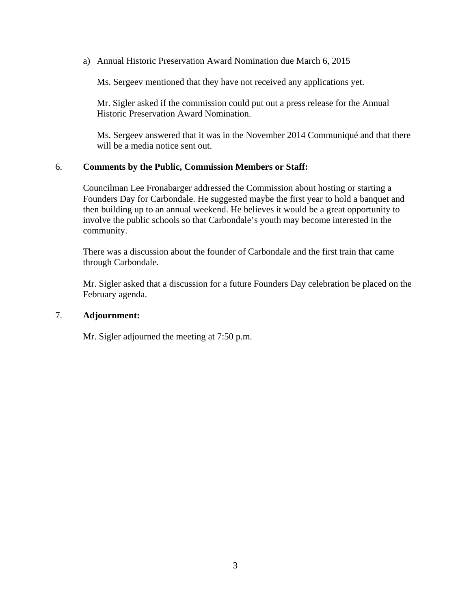a) Annual Historic Preservation Award Nomination due March 6, 2015

Ms. Sergeev mentioned that they have not received any applications yet.

Mr. Sigler asked if the commission could put out a press release for the Annual Historic Preservation Award Nomination.

Ms. Sergeev answered that it was in the November 2014 Communiqué and that there will be a media notice sent out.

### 6. **Comments by the Public, Commission Members or Staff:**

Councilman Lee Fronabarger addressed the Commission about hosting or starting a Founders Day for Carbondale. He suggested maybe the first year to hold a banquet and then building up to an annual weekend. He believes it would be a great opportunity to involve the public schools so that Carbondale's youth may become interested in the community.

There was a discussion about the founder of Carbondale and the first train that came through Carbondale.

Mr. Sigler asked that a discussion for a future Founders Day celebration be placed on the February agenda.

### 7. **Adjournment:**

Mr. Sigler adjourned the meeting at 7:50 p.m.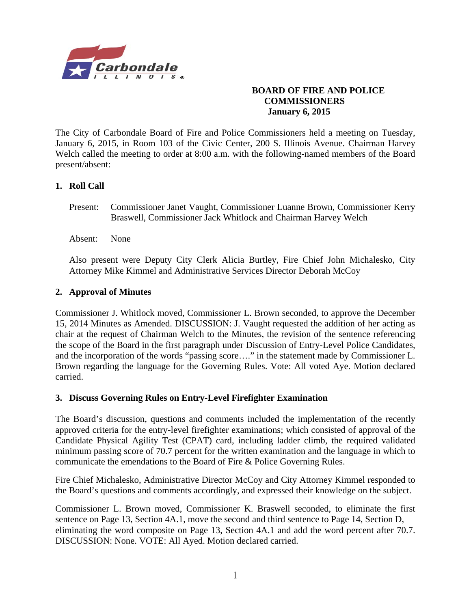

### **BOARD OF FIRE AND POLICE COMMISSIONERS January 6, 2015**

The City of Carbondale Board of Fire and Police Commissioners held a meeting on Tuesday, January 6, 2015, in Room 103 of the Civic Center, 200 S. Illinois Avenue. Chairman Harvey Welch called the meeting to order at 8:00 a.m. with the following-named members of the Board present/absent:

### **1. Roll Call**

- Present: Commissioner Janet Vaught, Commissioner Luanne Brown, Commissioner Kerry Braswell, Commissioner Jack Whitlock and Chairman Harvey Welch
- Absent: None

Also present were Deputy City Clerk Alicia Burtley, Fire Chief John Michalesko, City Attorney Mike Kimmel and Administrative Services Director Deborah McCoy

### **2. Approval of Minutes**

Commissioner J. Whitlock moved, Commissioner L. Brown seconded, to approve the December 15, 2014 Minutes as Amended. DISCUSSION: J. Vaught requested the addition of her acting as chair at the request of Chairman Welch to the Minutes, the revision of the sentence referencing the scope of the Board in the first paragraph under Discussion of Entry-Level Police Candidates, and the incorporation of the words "passing score…." in the statement made by Commissioner L. Brown regarding the language for the Governing Rules. Vote: All voted Aye. Motion declared carried.

### **3. Discuss Governing Rules on Entry-Level Firefighter Examination**

The Board's discussion, questions and comments included the implementation of the recently approved criteria for the entry-level firefighter examinations; which consisted of approval of the Candidate Physical Agility Test (CPAT) card, including ladder climb, the required validated minimum passing score of 70.7 percent for the written examination and the language in which to communicate the emendations to the Board of Fire & Police Governing Rules.

Fire Chief Michalesko, Administrative Director McCoy and City Attorney Kimmel responded to the Board's questions and comments accordingly, and expressed their knowledge on the subject.

Commissioner L. Brown moved, Commissioner K. Braswell seconded, to eliminate the first sentence on Page 13, Section 4A.1, move the second and third sentence to Page 14, Section D, eliminating the word composite on Page 13, Section 4A.1 and add the word percent after 70.7. DISCUSSION: None. VOTE: All Ayed. Motion declared carried.